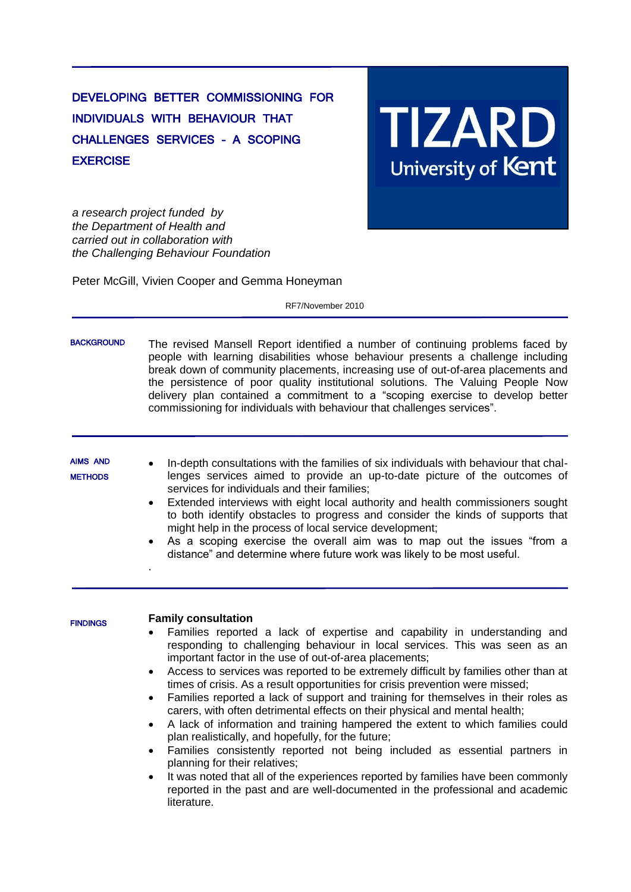# DEVELOPING BETTER COMMISSIONING FOR INDIVIDUALS WITH BEHAVIOUR THAT CHALLENGES SERVICES – A SCOPING **EXERCISE**

# **TIZARD**<br>University of Kent

*a research project funded by the Department of Health and carried out in collaboration with the Challenging Behaviour Foundation*

Peter McGill, Vivien Cooper and Gemma Honeyman

RF7/November 2010

| <b>BACKGROUND</b>                 | The revised Mansell Report identified a number of continuing problems faced by<br>people with learning disabilities whose behaviour presents a challenge including<br>break down of community placements, increasing use of out-of-area placements and<br>the persistence of poor quality institutional solutions. The Valuing People Now<br>delivery plan contained a commitment to a "scoping exercise to develop better<br>commissioning for individuals with behaviour that challenges services".                                                                                                                                                                                                                                                                                                                                                                                                                                                                                                                                                                                                   |
|-----------------------------------|---------------------------------------------------------------------------------------------------------------------------------------------------------------------------------------------------------------------------------------------------------------------------------------------------------------------------------------------------------------------------------------------------------------------------------------------------------------------------------------------------------------------------------------------------------------------------------------------------------------------------------------------------------------------------------------------------------------------------------------------------------------------------------------------------------------------------------------------------------------------------------------------------------------------------------------------------------------------------------------------------------------------------------------------------------------------------------------------------------|
| <b>AIMS AND</b><br><b>METHODS</b> | In-depth consultations with the families of six individuals with behaviour that chal-<br>lenges services aimed to provide an up-to-date picture of the outcomes of<br>services for individuals and their families;<br>Extended interviews with eight local authority and health commissioners sought<br>$\bullet$<br>to both identify obstacles to progress and consider the kinds of supports that<br>might help in the process of local service development;<br>As a scoping exercise the overall aim was to map out the issues "from a<br>$\bullet$<br>distance" and determine where future work was likely to be most useful.                                                                                                                                                                                                                                                                                                                                                                                                                                                                       |
| <b>FINDINGS</b>                   | <b>Family consultation</b><br>Families reported a lack of expertise and capability in understanding and<br>$\bullet$<br>responding to challenging behaviour in local services. This was seen as an<br>important factor in the use of out-of-area placements;<br>Access to services was reported to be extremely difficult by families other than at<br>$\bullet$<br>times of crisis. As a result opportunities for crisis prevention were missed;<br>Families reported a lack of support and training for themselves in their roles as<br>$\bullet$<br>carers, with often detrimental effects on their physical and mental health;<br>A lack of information and training hampered the extent to which families could<br>$\bullet$<br>plan realistically, and hopefully, for the future;<br>Families consistently reported not being included as essential partners in<br>$\bullet$<br>planning for their relatives;<br>It was noted that all of the experiences reported by families have been commonly<br>reported in the past and are well-documented in the professional and academic<br>literature. |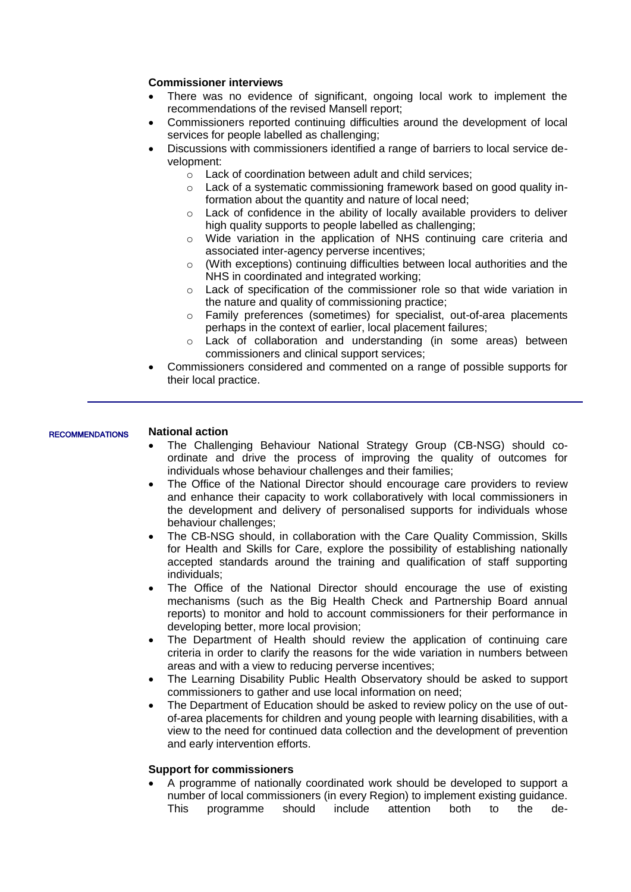## **Commissioner interviews**

- There was no evidence of significant, ongoing local work to implement the recommendations of the revised Mansell report;
- Commissioners reported continuing difficulties around the development of local services for people labelled as challenging;
- Discussions with commissioners identified a range of barriers to local service development:
	- o Lack of coordination between adult and child services;
	- $\circ$  Lack of a systematic commissioning framework based on good quality information about the quantity and nature of local need;
	- $\circ$  Lack of confidence in the ability of locally available providers to deliver high quality supports to people labelled as challenging;
	- o Wide variation in the application of NHS continuing care criteria and associated inter-agency perverse incentives;
	- o (With exceptions) continuing difficulties between local authorities and the NHS in coordinated and integrated working;
	- o Lack of specification of the commissioner role so that wide variation in the nature and quality of commissioning practice;
	- o Family preferences (sometimes) for specialist, out-of-area placements perhaps in the context of earlier, local placement failures;
	- o Lack of collaboration and understanding (in some areas) between commissioners and clinical support services;
- Commissioners considered and commented on a range of possible supports for their local practice.

### **National action RECOMMENDATIONS**

- The Challenging Behaviour National Strategy Group (CB-NSG) should coordinate and drive the process of improving the quality of outcomes for individuals whose behaviour challenges and their families;
- The Office of the National Director should encourage care providers to review and enhance their capacity to work collaboratively with local commissioners in the development and delivery of personalised supports for individuals whose behaviour challenges;
- The CB-NSG should, in collaboration with the Care Quality Commission, Skills for Health and Skills for Care, explore the possibility of establishing nationally accepted standards around the training and qualification of staff supporting individuals;
- The Office of the National Director should encourage the use of existing mechanisms (such as the Big Health Check and Partnership Board annual reports) to monitor and hold to account commissioners for their performance in developing better, more local provision;
- The Department of Health should review the application of continuing care criteria in order to clarify the reasons for the wide variation in numbers between areas and with a view to reducing perverse incentives;
- The Learning Disability Public Health Observatory should be asked to support commissioners to gather and use local information on need;
- The Department of Education should be asked to review policy on the use of outof-area placements for children and young people with learning disabilities, with a view to the need for continued data collection and the development of prevention and early intervention efforts.

### **Support for commissioners**

 A programme of nationally coordinated work should be developed to support a number of local commissioners (in every Region) to implement existing guidance. This programme should include attention both to the de